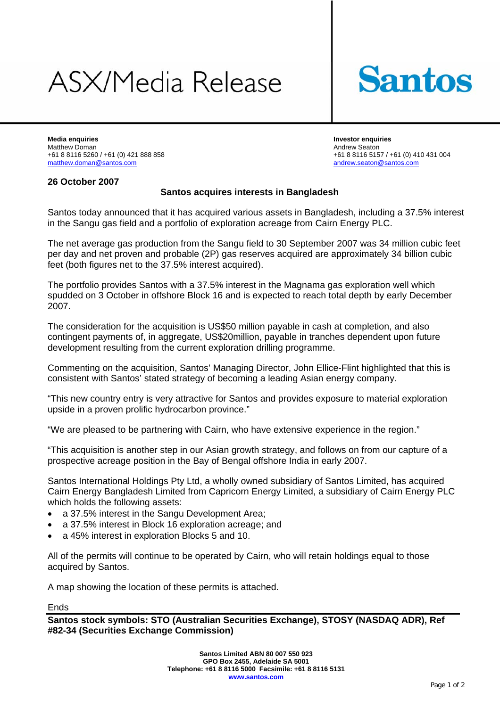# ASX/Media Release



**Media enquiries Investor enquiries**  Matthew Doman 1991 10 Andrew Seaton 1991 10:00 Andrew Seaton 1991 10:00 Andrew Seaton 1991 10:00 Andrew Seaton<br>1991 10:00 Andrew Seaton 1992 10:00 Andrew Seaton 1992 10:00 Andrew Seaton 1992 10:00 Andrew Seaton 1992 10:00 [matthew.doman@santos.com](mailto:Kathryn.mitchell@santos.com) [andrew.seaton@santos.com](mailto:andrew.seaton@santos.com)

+61 8 8116 5157 / +61 (0) 410 431 004

### **26 October 2007**

### **Santos acquires interests in Bangladesh**

Santos today announced that it has acquired various assets in Bangladesh, including a 37.5% interest in the Sangu gas field and a portfolio of exploration acreage from Cairn Energy PLC.

The net average gas production from the Sangu field to 30 September 2007 was 34 million cubic feet per day and net proven and probable (2P) gas reserves acquired are approximately 34 billion cubic feet (both figures net to the 37.5% interest acquired).

The portfolio provides Santos with a 37.5% interest in the Magnama gas exploration well which spudded on 3 October in offshore Block 16 and is expected to reach total depth by early December 2007.

The consideration for the acquisition is US\$50 million payable in cash at completion, and also contingent payments of, in aggregate, US\$20million, payable in tranches dependent upon future development resulting from the current exploration drilling programme.

Commenting on the acquisition, Santos' Managing Director, John Ellice-Flint highlighted that this is consistent with Santos' stated strategy of becoming a leading Asian energy company.

"This new country entry is very attractive for Santos and provides exposure to material exploration upside in a proven prolific hydrocarbon province."

"We are pleased to be partnering with Cairn, who have extensive experience in the region."

"This acquisition is another step in our Asian growth strategy, and follows on from our capture of a prospective acreage position in the Bay of Bengal offshore India in early 2007.

Santos International Holdings Pty Ltd, a wholly owned subsidiary of Santos Limited, has acquired Cairn Energy Bangladesh Limited from Capricorn Energy Limited, a subsidiary of Cairn Energy PLC which holds the following assets:

- a 37.5% interest in the Sangu Development Area;
- a 37.5% interest in Block 16 exploration acreage; and
- a 45% interest in exploration Blocks 5 and 10.

All of the permits will continue to be operated by Cairn, who will retain holdings equal to those acquired by Santos.

A map showing the location of these permits is attached.

Ends

**Santos stock symbols: STO (Australian Securities Exchange), STOSY (NASDAQ ADR), Ref #82-34 (Securities Exchange Commission)**